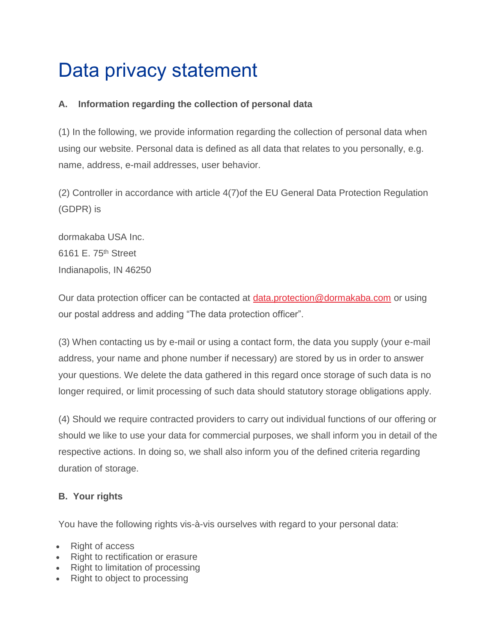# Data privacy statement

# **A. Information regarding the collection of personal data**

(1) In the following, we provide information regarding the collection of personal data when using our website. Personal data is defined as all data that relates to you personally, e.g. name, address, e-mail addresses, user behavior.

(2) Controller in accordance with article 4(7)of the EU General Data Protection Regulation (GDPR) is

dormakaba USA Inc. 6161 E. 75th Street Indianapolis, IN 46250

Our data protection officer can be contacted at [data.protection@dormakaba.com](mailto:data.protection@dormakaba.com) or using our postal address and adding "The data protection officer".

(3) When contacting us by e-mail or using a contact form, the data you supply (your e-mail address, your name and phone number if necessary) are stored by us in order to answer your questions. We delete the data gathered in this regard once storage of such data is no longer required, or limit processing of such data should statutory storage obligations apply.

(4) Should we require contracted providers to carry out individual functions of our offering or should we like to use your data for commercial purposes, we shall inform you in detail of the respective actions. In doing so, we shall also inform you of the defined criteria regarding duration of storage.

# **B. Your rights**

You have the following rights vis-à-vis ourselves with regard to your personal data:

- **Right of access**
- Right to rectification or erasure
- Right to limitation of processing
- Right to object to processing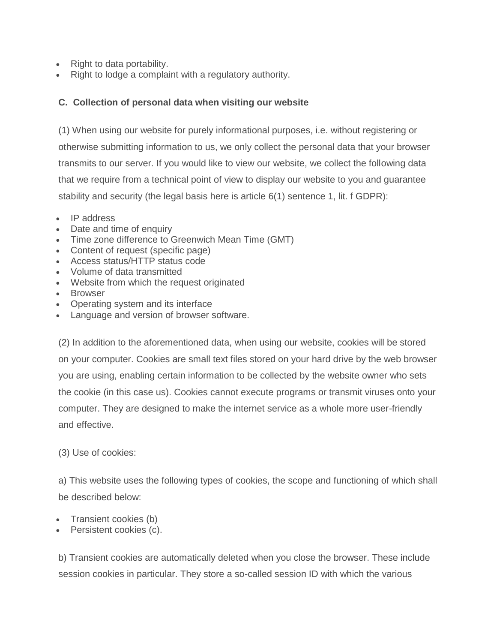- Right to data portability.
- Right to lodge a complaint with a regulatory authority.

### **C. Collection of personal data when visiting our website**

(1) When using our website for purely informational purposes, i.e. without registering or otherwise submitting information to us, we only collect the personal data that your browser transmits to our server. If you would like to view our website, we collect the following data that we require from a technical point of view to display our website to you and guarantee stability and security (the legal basis here is article 6(1) sentence 1, lit. f GDPR):

- IP address
- Date and time of enquiry
- Time zone difference to Greenwich Mean Time (GMT)
- Content of request (specific page)
- Access status/HTTP status code
- Volume of data transmitted
- Website from which the request originated
- Browser
- Operating system and its interface
- Language and version of browser software.

(2) In addition to the aforementioned data, when using our website, cookies will be stored on your computer. Cookies are small text files stored on your hard drive by the web browser you are using, enabling certain information to be collected by the website owner who sets the cookie (in this case us). Cookies cannot execute programs or transmit viruses onto your computer. They are designed to make the internet service as a whole more user-friendly and effective.

#### (3) Use of cookies:

a) This website uses the following types of cookies, the scope and functioning of which shall be described below:

- Transient cookies (b)
- Persistent cookies (c).

b) Transient cookies are automatically deleted when you close the browser. These include session cookies in particular. They store a so-called session ID with which the various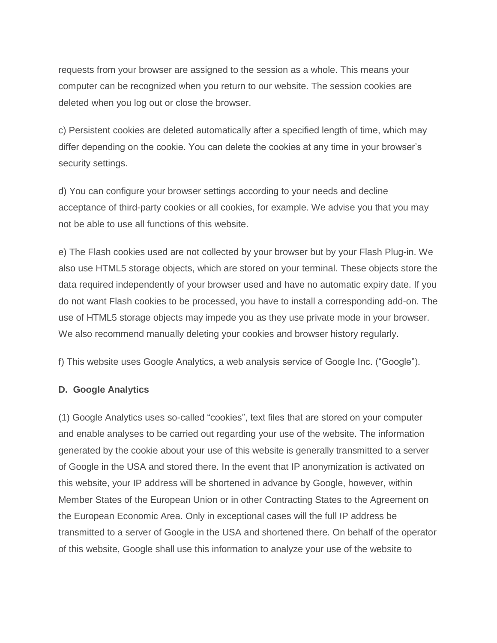requests from your browser are assigned to the session as a whole. This means your computer can be recognized when you return to our website. The session cookies are deleted when you log out or close the browser.

c) Persistent cookies are deleted automatically after a specified length of time, which may differ depending on the cookie. You can delete the cookies at any time in your browser's security settings.

d) You can configure your browser settings according to your needs and decline acceptance of third-party cookies or all cookies, for example. We advise you that you may not be able to use all functions of this website.

e) The Flash cookies used are not collected by your browser but by your Flash Plug-in. We also use HTML5 storage objects, which are stored on your terminal. These objects store the data required independently of your browser used and have no automatic expiry date. If you do not want Flash cookies to be processed, you have to install a corresponding add-on. The use of HTML5 storage objects may impede you as they use private mode in your browser. We also recommend manually deleting your cookies and browser history regularly.

f) This website uses Google Analytics, a web analysis service of Google Inc. ("Google").

#### **D. Google Analytics**

(1) Google Analytics uses so-called "cookies", text files that are stored on your computer and enable analyses to be carried out regarding your use of the website. The information generated by the cookie about your use of this website is generally transmitted to a server of Google in the USA and stored there. In the event that IP anonymization is activated on this website, your IP address will be shortened in advance by Google, however, within Member States of the European Union or in other Contracting States to the Agreement on the European Economic Area. Only in exceptional cases will the full IP address be transmitted to a server of Google in the USA and shortened there. On behalf of the operator of this website, Google shall use this information to analyze your use of the website to